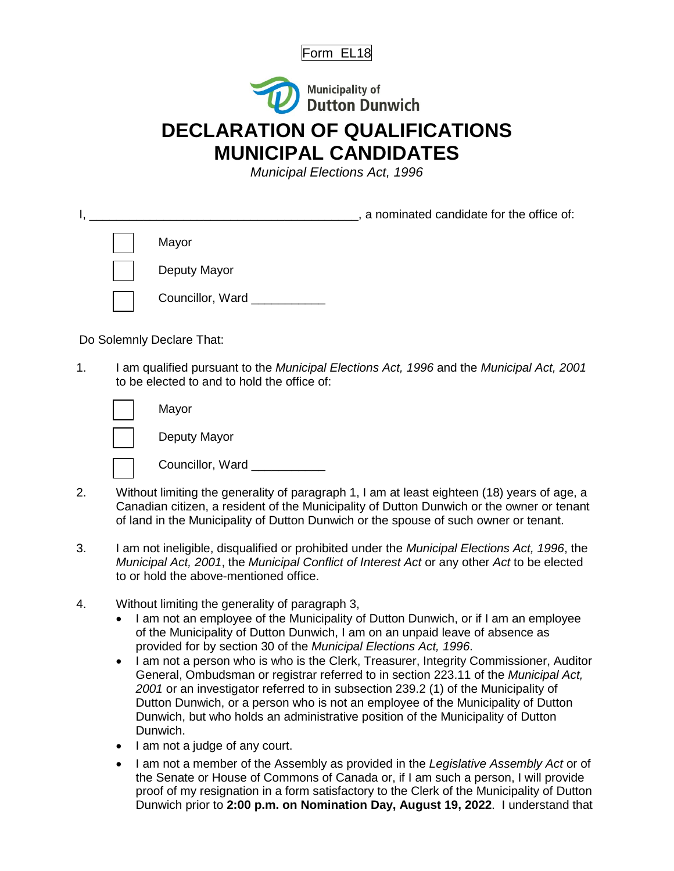



## **DECLARATION OF QUALIFICATIONS MUNICIPAL CANDIDATES**

*Municipal Elections Act, 1996*

|  | a nominated candidate for the office of: |
|--|------------------------------------------|
|  | Mayor                                    |
|  | Deputy Mayor                             |
|  | Councillor, Ward ___________             |

Do Solemnly Declare That:

1. I am qualified pursuant to the *Municipal Elections Act, 1996* and the *Municipal Act, 2001* to be elected to and to hold the office of:

| Mayor            |
|------------------|
| Deputy Mayor     |
| Councillor, Ward |

- 2. Without limiting the generality of paragraph 1, I am at least eighteen (18) years of age, a Canadian citizen, a resident of the Municipality of Dutton Dunwich or the owner or tenant of land in the Municipality of Dutton Dunwich or the spouse of such owner or tenant.
- 3. I am not ineligible, disqualified or prohibited under the *Municipal Elections Act, 1996*, the *Municipal Act, 2001*, the *Municipal Conflict of Interest Act* or any other *Act* to be elected to or hold the above-mentioned office.
- 4. Without limiting the generality of paragraph 3,
	- I am not an employee of the Municipality of Dutton Dunwich, or if I am an employee of the Municipality of Dutton Dunwich, I am on an unpaid leave of absence as provided for by section 30 of the *Municipal Elections Act, 1996*.
	- I am not a person who is who is the Clerk, Treasurer, Integrity Commissioner, Auditor General, Ombudsman or registrar referred to in section 223.11 of the *Municipal Act, 2001* or an investigator referred to in subsection 239.2 (1) of the Municipality of Dutton Dunwich, or a person who is not an employee of the Municipality of Dutton Dunwich, but who holds an administrative position of the Municipality of Dutton Dunwich.
	- I am not a judge of any court.
	- I am not a member of the Assembly as provided in the *Legislative Assembly Act* or of the Senate or House of Commons of Canada or, if I am such a person, I will provide proof of my resignation in a form satisfactory to the Clerk of the Municipality of Dutton Dunwich prior to **2:00 p.m. on Nomination Day, August 19, 2022**. I understand that